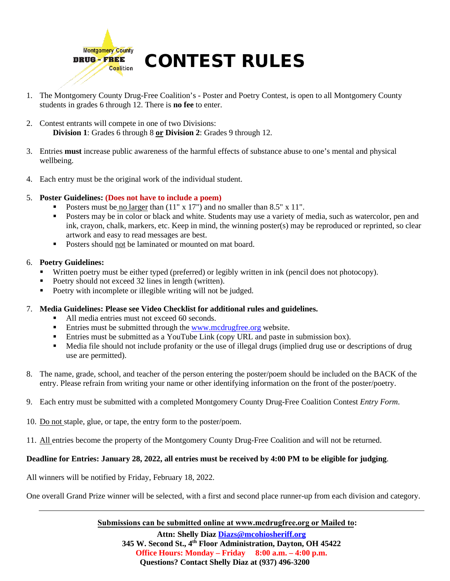

- 1. The Montgomery County Drug-Free Coalition's Poster and Poetry Contest, is open to all Montgomery County students in grades 6 through 12. There is **no fee** to enter.
- 2. Contest entrants will compete in one of two Divisions: **Division 1**: Grades 6 through 8 **or Division 2**: Grades 9 through 12.
- 3. Entries **must** increase public awareness of the harmful effects of substance abuse to one's mental and physical wellbeing.
- 4. Each entry must be the original work of the individual student.

# 5. **Poster Guidelines: (Does not have to include a poem)**

- Posters must be no larger than  $(11" \times 17")$  and no smaller than 8.5" x 11".
- Posters may be in color or black and white. Students may use a variety of media, such as watercolor, pen and ink, crayon, chalk, markers, etc. Keep in mind, the winning poster(s) may be reproduced or reprinted, so clear artwork and easy to read messages are best.
- Posters should not be laminated or mounted on mat board.

### 6. **Poetry Guidelines:**

- Written poetry must be either typed (preferred) or legibly written in ink (pencil does not photocopy).
- Poetry should not exceed 32 lines in length (written).
- Poetry with incomplete or illegible writing will not be judged.

#### 7. **Media Guidelines: Please see Video Checklist for additional rules and guidelines.**

- All media entries must not exceed 60 seconds.
- **Entries must be submitted through the [www.mcdrugfree.org](http://www.mcdrugfree.org/) website.**
- Entries must be submitted as a YouTube Link (copy URL and paste in submission box).
- Media file should not include profanity or the use of illegal drugs (implied drug use or descriptions of drug use are permitted).
- 8. The name, grade, school, and teacher of the person entering the poster/poem should be included on the BACK of the entry. Please refrain from writing your name or other identifying information on the front of the poster/poetry.
- 9. Each entry must be submitted with a completed Montgomery County Drug-Free Coalition Contest *Entry Form*.
- 10. Do not staple, glue, or tape, the entry form to the poster/poem.
- 11. All entries become the property of the Montgomery County Drug-Free Coalition and will not be returned.

# **Deadline for Entries: January 28, 2022, all entries must be received by 4:00 PM to be eligible for judging**.

All winners will be notified by Friday, February 18, 2022.

One overall Grand Prize winner will be selected, with a first and second place runner-up from each division and category.